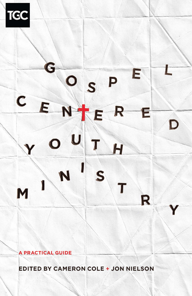$\mathbf C$ 

M

 $-R$ E NTE  $\boldsymbol{\mathsf{U}}$ H

 $\mathbf{s}$ 

S

E

E

R

D

P

**A PRACTICAL GUIDE** 

G

 $\overline{\mathbf{0}}$ 

N

**EDITED BY CAMERON COLE + JON NIELSON**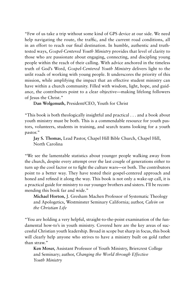"Few of us take a trip without some kind of GPS device at our side. We need help navigating the route, the traffic, and the current road conditions, all in an effort to reach our final destination. In humble, authentic and truthtested ways, *Gospel-Centered Youth Ministry* provides that level of clarity to those who are passionate about engaging, connecting, and discipling young people within the reach of their calling. With advice anchored in the timeless truth of God's Word, *Gospel-Centered Youth Ministry* delivers light to the unlit roads of working with young people. It underscores the priority of this mission, while amplifying the impact that an effective student ministry can have within a church community. Filled with wisdom, light, hope, and guidance, the contributors point to a clear objective—making lifelong followers of Jesus the Christ."

**Dan Wolgemuth,** President/CEO, Youth for Christ

"This book is both theologically insightful and practical . . . and a book about youth ministry must be both. This is a commendable resource for youth pastors, volunteers, students in training, and search teams looking for a youth pastor."

**Jay S. Thomas,** Lead Pastor, Chapel Hill Bible Church, Chapel Hill, North Carolina

"We see the lamentable statistics about younger people walking away from the church, despite every attempt over the last couple of generations either to turn up the cool factor or to fight the culture wars—or both. The contributors point to a better way. They have tested their gospel-centered approach and honed and refined it along the way. This book is not only a wake-up call, it is a practical guide for ministry to our younger brothers and sisters. I'll be recommending this book far and wide."

**Michael Horton,** J. Gresham Machen Professor of Systematic Theology and Apologetics, Westminster Seminary California; author, *Calvin on the Christian Life*

"You are holding a very helpful, straight-to-the-point examination of the fundamental how-to's in youth ministry. Covered here are the key areas of successful Christian youth leadership. Broad in scope but sharp in focus, this book will clearly help anyone who strives to have a ministry built on gold rather than straw."

**Ken Moser,** Assistant Professor of Youth Ministry, Briercrest College and Seminary; author, *Changing the World through Effective Youth Ministry*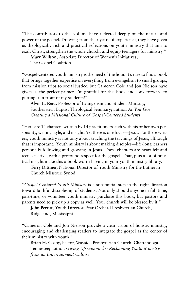"The contributors to this volume have reflected deeply on the nature and power of the gospel. Drawing from their years of experience, they have given us theologically rich and practical reflections on youth ministry that aim to exalt Christ, strengthen the whole church, and equip teenagers for ministry."

**Mary Willson,** Associate Director of Women's Initiatives,

The Gospel Coalition

"Gospel-centered youth ministry is the need of the hour. It's rare to find a book that brings together expertise on everything from evangelism to small groups, from mission trips to social justice, but Cameron Cole and Jon Nielson have given us the perfect primer. I'm grateful for this book and look forward to putting it in front of my students!"

**Alvin L. Reid,** Professor of Evangelism and Student Ministry, Southeastern Baptist Theological Seminary; author, *As You Go: Creating a Missional Culture of Gospel-Centered Students*

"Here are 14 chapters written by 14 practitioners each with his or her own personality, writing style, and insight. Yet there is one focus—Jesus. For these writers, youth ministry is not only about teaching the teachings of Jesus, although that is important. Youth ministry is about making disciples—life-long learners personally following and growing in Jesus. These chapters are heart-felt and teen sensitive, with a profound respect for the gospel. That, plus a lot of practical insight make this a book worth having in your youth ministry library."

**Terry Dittmer,** National Director of Youth Ministry for the Lutheran Church Missouri Synod

"*Gospel-Centered Youth Ministry* is a substantial step in the right direction toward faithful discipleship of students. Not only should anyone in full time, part-time, or volunteer youth ministry purchase this book, but pastors and parents need to pick up a copy as well. Your church will be blessed by it."

**John Perritt,** Youth Director, Pear Orchard Presbyterian Church, Ridgeland, Mississippi

"Cameron Cole and Jon Nielson provide a clear vision of holistic ministry, encouraging and challenging readers to integrate the gospel as the center of their ministry with youth."

**Brian H. Cosby,** Pastor, Wayside Presbyterian Church, Chattanooga, Tennessee; author, *Giving Up Gimmicks: Reclaiming Youth Ministry from an Entertainment Culture*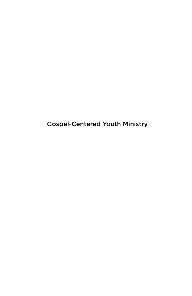Gospel-Centered Youth Ministry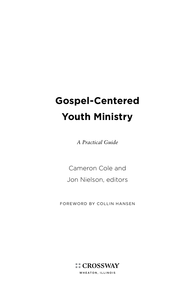# **Gospel-Centered Youth Ministry**

*A Practical Guide*

Cameron Cole and Jon Nielson, editors

FOREWORD BY COLLIN HANSEN



WHEATON, ILLINOIS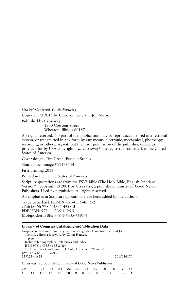*Gospel-Centered Youth Ministry*

Copyright © 2016 by Cameron Cole and Jon Nielson

Published by Crossway 1300 Crescent Street Wheaton, Illinois 60187

All rights reserved. No part of this publication may be reproduced, stored in a retrieval system, or transmitted in any form by any means, electronic, mechanical, photocopy, recording, or otherwise, without the prior permission of the publisher, except as provided for by USA copyright law. Crossway® is a registered trademark in the United States of America.

Cover design: Tim Green, Faceout Studio

Shutterstock image #51178144

First printing 2016

Printed in the United States of America

Scripture quotations are from the ESV® Bible (The Holy Bible, English Standard Version®), copyright © 2001 by Crossway, a publishing ministry of Good News Publishers. Used by permission. All rights reserved.

All emphases in Scripture quotations have been added by the authors.

Trade paperback ISBN: 978-1-4335-4695-2 ePub ISBN: 978-1-4335-4698-3 PDF ISBN: 978-1-4335-4696-9 Mobipocket ISBN: 978-1-4335-4697-6

#### **Library of Congress Cataloging-in-Publication Data**

|    | Gospel-centered youth ministry: a practical guide / Cameron Cole and Jon      |    |      |    |    |     |       |  |    |    |    |   |      |     |  |  |  |
|----|-------------------------------------------------------------------------------|----|------|----|----|-----|-------|--|----|----|----|---|------|-----|--|--|--|
|    | Nielson, editors; foreword by Collin Hansen.                                  |    |      |    |    |     |       |  |    |    |    |   |      |     |  |  |  |
|    | pages cm                                                                      |    |      |    |    |     |       |  |    |    |    |   |      |     |  |  |  |
|    | Includes bibliographical references and index.<br>ISBN 978-1-4335-4695-2 (tp) |    |      |    |    |     |       |  |    |    |    |   |      |     |  |  |  |
|    |                                                                               |    |      |    |    |     |       |  |    |    |    |   |      |     |  |  |  |
|    | 1. Church work with youth. I. Cole, Cameron, 1979- editor.                    |    |      |    |    |     |       |  |    |    |    |   |      |     |  |  |  |
|    | BV4447.G65                                                                    |    | 2016 |    |    |     |       |  |    |    |    |   |      |     |  |  |  |
|    | $259'.23 - dc23$<br>2015016170                                                |    |      |    |    |     |       |  |    |    |    |   |      |     |  |  |  |
|    | Crossway is a publishing ministry of Good News Publishers.                    |    |      |    |    |     |       |  |    |    |    |   |      |     |  |  |  |
| VP |                                                                               | 26 | 25   | 24 | 23 |     | 22 21 |  | 20 | 19 | 18 |   | - 17 | -16 |  |  |  |
| 15 | 14                                                                            | 13 | 12   | 11 | 10 | - 9 | 8 7   |  | 6  | 5  | 4  | 3 |      |     |  |  |  |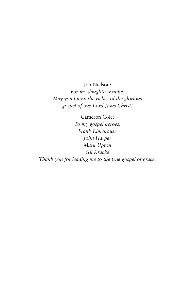Jon Nielson: *For my daughter Emilie. May you know the riches of the glorious gospel of our Lord Jesus Christ!*

Cameron Cole: *To my gospel heroes, Frank Limehouse John Harper Mark Upton Gil Kracke Thank you for leading me to the true gospel of grace.*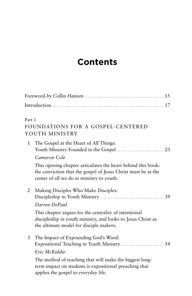## <span id="page-9-0"></span>**Contents**

| Part 1       | FOUNDATIONS FOR A GOSPEL-CENTERED<br>YOUTH MINISTRY                                                                                                                        |
|--------------|----------------------------------------------------------------------------------------------------------------------------------------------------------------------------|
| $\mathbf{1}$ | The Gospel at the Heart of All Things:<br>Cameron Cole                                                                                                                     |
|              | This opening chapter articulates the heart behind this book:<br>the conviction that the gospel of Jesus Christ must be at the<br>center of all we do in ministry to youth. |
| 2            | Making Disciples Who Make Disciples:                                                                                                                                       |
|              | Darren DePaul                                                                                                                                                              |
|              | This chapter argues for the centrality of intentional<br>discipleship in youth ministry, and looks to Jesus Christ as<br>the ultimate model for disciple makers.           |
| 3            | The Impact of Expounding God's Word:<br>Expositional Teaching in Youth Ministry 54<br>Eric McKiddie                                                                        |
|              | The method of teaching that will make the biggest long-<br>term impact on students is expositional preaching that<br>applies the gospel to everyday life.                  |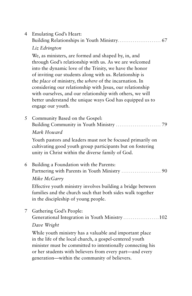| 4 | Emulating God's Heart:<br>Liz Edrington<br>We, as ministers, are formed and shaped by, in, and<br>through God's relationship with us. As we are welcomed<br>into the dynamic love of the Trinity, we have the honor<br>of inviting our students along with us. Relationship is<br>the <i>place</i> of ministry, the <i>where</i> of the incarnation. In<br>considering our relationship with Jesus, our relationship<br>with ourselves, and our relationship with others, we will<br>better understand the unique ways God has equipped us to<br>engage our youth. |
|---|--------------------------------------------------------------------------------------------------------------------------------------------------------------------------------------------------------------------------------------------------------------------------------------------------------------------------------------------------------------------------------------------------------------------------------------------------------------------------------------------------------------------------------------------------------------------|
| 5 | Community Based on the Gospel:<br>Mark Howard<br>Youth pastors and leaders must not be focused primarily on<br>cultivating good youth group participants but on fostering<br>unity in Christ within the diverse family of God.                                                                                                                                                                                                                                                                                                                                     |
| 6 | Building a Foundation with the Parents:<br>Mike McGarry<br>Effective youth ministry involves building a bridge between<br>families and the church such that both sides walk together<br>in the discipleship of young people.                                                                                                                                                                                                                                                                                                                                       |
| 7 | Gathering God's People:<br>Generational Integration in Youth Ministry 102<br>Dave Wright<br>While youth ministry has a valuable and important place<br>in the life of the local church, a gospel-centered youth<br>minister must be committed to intentionally connecting his<br>or her students with believers from every part-and every<br>generation—within the community of believers.                                                                                                                                                                         |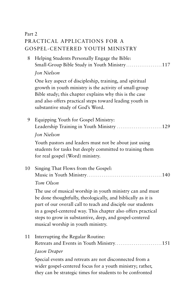#### Part 2 PRACTICAL APPLICATIONS FOR A GOSPEL-CENTERED YOUTH MINISTRY

| Helping Students Personally Engage the Bible:<br>Small-Group Bible Study in Youth Ministry117                                                                                                                                                                                                                                                             |  |  |  |  |  |  |
|-----------------------------------------------------------------------------------------------------------------------------------------------------------------------------------------------------------------------------------------------------------------------------------------------------------------------------------------------------------|--|--|--|--|--|--|
| Jon Nielson                                                                                                                                                                                                                                                                                                                                               |  |  |  |  |  |  |
| One key aspect of discipleship, training, and spiritual<br>growth in youth ministry is the activity of small-group<br>Bible study; this chapter explains why this is the case<br>and also offers practical steps toward leading youth in<br>substantive study of God's Word.                                                                              |  |  |  |  |  |  |
| Equipping Youth for Gospel Ministry:                                                                                                                                                                                                                                                                                                                      |  |  |  |  |  |  |
| Leadership Training in Youth Ministry 129                                                                                                                                                                                                                                                                                                                 |  |  |  |  |  |  |
| Jon Nielson                                                                                                                                                                                                                                                                                                                                               |  |  |  |  |  |  |
| Youth pastors and leaders must not be about just using<br>students for tasks but deeply committed to training them<br>for real gospel (Word) ministry.                                                                                                                                                                                                    |  |  |  |  |  |  |
| Singing That Flows from the Gospel:                                                                                                                                                                                                                                                                                                                       |  |  |  |  |  |  |
|                                                                                                                                                                                                                                                                                                                                                           |  |  |  |  |  |  |
| Tom Olson                                                                                                                                                                                                                                                                                                                                                 |  |  |  |  |  |  |
| The use of musical worship in youth ministry can and must<br>be done thoughtfully, theologically, and biblically as it is<br>part of our overall call to teach and disciple our students<br>in a gospel-centered way. This chapter also offers practical<br>steps to grow in substantive, deep, and gospel-centered<br>musical worship in youth ministry. |  |  |  |  |  |  |
|                                                                                                                                                                                                                                                                                                                                                           |  |  |  |  |  |  |

11 [Interrupting the Regular Routine:](#page--1-6)  [Retreats and Events in Youth Ministry.](#page--1-6) . . . . . . . . . . . . . . . . . . . . . . . .[151](#page--1-6) *Jason Draper*

Special events and retreats are not disconnected from a wider gospel-centered focus for a youth ministry; rather, they can be strategic times for students to be confronted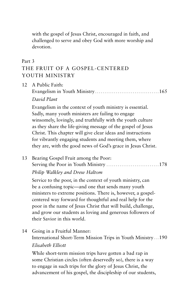with the gospel of Jesus Christ, encouraged in faith, and challenged to serve and obey God with more worship and devotion.

#### Part 3

#### THE FRUIT OF A GOSPEL-CENTERED YOUTH MINISTRY

| 12 <sub>1</sub> | A Public Faith:                                              |  |  |  |  |  |  |
|-----------------|--------------------------------------------------------------|--|--|--|--|--|--|
|                 |                                                              |  |  |  |  |  |  |
|                 | David Plant                                                  |  |  |  |  |  |  |
|                 | Evangelism in the context of youth ministry is essential.    |  |  |  |  |  |  |
|                 | Sadly, many youth ministers are failing to engage            |  |  |  |  |  |  |
|                 | winsomely, lovingly, and truthfully with the youth culture   |  |  |  |  |  |  |
|                 | as they share the life-giving message of the gospel of Jesus |  |  |  |  |  |  |
|                 | Christ. This chapter will give clear ideas and instructions  |  |  |  |  |  |  |
|                 | for vibrantly engaging students and meeting them, where      |  |  |  |  |  |  |
|                 | they are, with the good news of God's grace in Jesus Christ. |  |  |  |  |  |  |
| 13              | Bearing Gospel Fruit among the Poor:                         |  |  |  |  |  |  |
|                 |                                                              |  |  |  |  |  |  |

- [Serving the Poor in Youth Ministry](#page--1-8) ..................................[178](#page--1-8)
	- *Philip Walkley and Drew Haltom*

Service to the poor, in the context of youth ministry, can be a confusing topic—and one that sends many youth ministers to extreme positions. There is, however, a gospelcentered way forward for thoughtful and real help for the poor in the name of Jesus Christ that will build, challenge, and grow our students as loving and generous followers of their Savior in this world.

14 [Going in a Fruitful Manner:](#page--1-9)  [International Short-Term Mission Trips in Youth Ministry](#page--1-9) . . .[190](#page--1-9) *Elisabeth Elliott*

While short-term mission trips have gotten a bad rap in some Christian circles (often deservedly so), there is a way to engage in such trips for the glory of Jesus Christ, the advancement of his gospel, the discipleship of our students,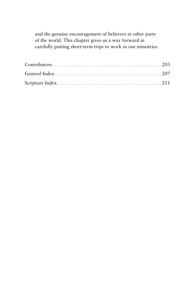and the genuine encouragement of believers in other parts of the world. This chapter gives us a way forward in carefully putting short-term trips to work in our ministries.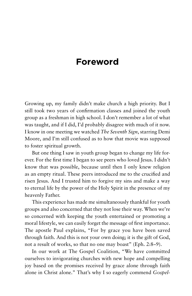### <span id="page-15-0"></span>**[Foreword](#page-9-0)**

Growing up, my family didn't make church a high priority. But I still took two years of confirmation classes and joined the youth group as a freshman in high school. I don't remember a lot of what was taught, and if I did, I'd probably disagree with much of it now. I know in one meeting we watched *The Seventh Sign*, starring Demi Moore, and I'm still confused as to how that movie was supposed to foster spiritual growth.

But one thing I saw in youth group began to change my life forever. For the first time I began to see peers who loved Jesus. I didn't know that was possible, because until then I only knew religion as an empty ritual. These peers introduced me to the crucified and risen Jesus. And I trusted him to forgive my sins and make a way to eternal life by the power of the Holy Spirit in the presence of my heavenly Father.

This experience has made me simultaneously thankful for youth groups and also concerned that they not lose their way. When we're so concerned with keeping the youth entertained or promoting a moral lifestyle, we can easily forget the message of first importance. The apostle Paul explains, "For by grace you have been saved through faith. And this is not your own doing; it is the gift of God, not a result of works, so that no one may boast" (Eph. 2:8–9).

In our work at The Gospel Coalition, "We have committed ourselves to invigorating churches with new hope and compelling joy based on the promises received by grace alone through faith alone in Christ alone." That's why I so eagerly commend *Gospel-*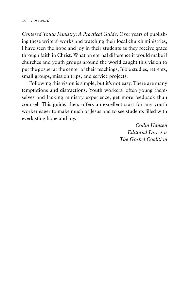*Centered Youth Ministry: A Practical Guide*. Over years of publishing these writers' works and watching their local church ministries, I have seen the hope and joy in their students as they receive grace through faith in Christ. What an eternal difference it would make if churches and youth groups around the world caught this vision to put the gospel at the center of their teachings, Bible studies, retreats, small groups, mission trips, and service projects.

Following this vision is simple, but it's not easy. There are many temptations and distractions. Youth workers, often young themselves and lacking ministry experience, get more feedback than counsel. This guide, then, offers an excellent start for any youth worker eager to make much of Jesus and to see students filled with everlasting hope and joy.

> *Collin Hansen Editorial Director The Gospel Coalition*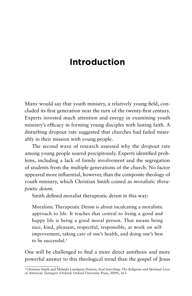### <span id="page-17-0"></span>**[Introduction](#page-9-0)**

Many would say that youth ministry, a relatively young field, concluded its first generation near the turn of the twenty-first century. Experts invested much attention and energy in examining youth ministry's efficacy in forming young disciples with lasting faith. A disturbing dropout rate suggested that churches had failed miserably in their mission with young people.

The second wave of research assessed why the dropout rate among young people soared precipitously. Experts identified problems, including a lack of family involvement and the segregation of students from the multiple generations of the church. No factor appeared more influential, however, than the composite theology of youth ministry, which Christian Smith coined as *moralistic therapeutic deism.*

Smith defined moralist therapeutic deism in this way:

Moralistic Therapeutic Deism is about inculcating a moralistic approach to life. It teaches that central to living a good and happy life is being a good moral person. That means being nice, kind, pleasant, respectful, responsible, at work on selfimprovement, taking care of one's health, and doing one's best to be successful.<sup>1</sup>

One will be challenged to find a more direct antithesis and more powerful answer to this theological trend than the gospel of Jesus

<sup>1</sup>Christian Smith and Melinda Lundquist Denton, *Soul Searching: The Religious and Spiritual Lives of American Teenagers* (Oxford: Oxford University Press, 2009), 163.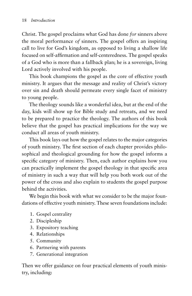Christ. The gospel proclaims what God has done *for* sinners above the moral performance *of* sinners. The gospel offers an inspiring call to live for God's kingdom, as opposed to living a shallow life focused on self-affirmation and self-centeredness. The gospel speaks of a God who is more than a fallback plan; he is a sovereign, living Lord actively involved with his people.

This book champions the gospel as the core of effective youth ministry. It argues that the message and reality of Christ's victory over sin and death should permeate every single facet of ministry to young people.

The theology sounds like a wonderful idea, but at the end of the day, kids will show up for Bible study and retreats, and we need to be prepared to practice the theology. The authors of this book believe that the gospel has practical implications for the way we conduct all areas of youth ministry.

This book lays out how the gospel relates to the major categories of youth ministry. The first section of each chapter provides philosophical and theological grounding for how the gospel informs a specific category of ministry. Then, each author explains how you can practically implement the gospel theology in that specific area of ministry in such a way that will help you both work out of the power of the cross and also explain to students the gospel purpose behind the activities.

We begin this book with what we consider to be the major foundations of effective youth ministry. These seven foundations include:

- 1. Gospel centrality
- 2. Discipleship
- 3. Expository teaching
- 4. Relationships
- 5. Community
- 6. Partnering with parents
- 7. Generational integration

Then we offer guidance on four practical elements of youth ministry, including: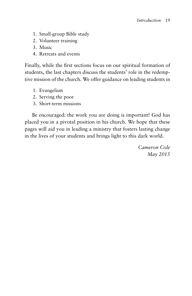- 1. Small-group Bible study
- 2. Volunteer training
- 3. Music
- 4. Retreats and events

Finally, while the first sections focus on our spiritual formation of students, the last chapters discuss the students' role in the redemptive mission of the church. We offer guidance on leading students in

- 1. Evangelism
- 2. Serving the poor
- 3. Short-term missions

Be encouraged: the work you are doing is important! God has placed you in a pivotal position in his church. We hope that these pages will aid you in leading a ministry that fosters lasting change in the lives of your students and brings light to this dark world.

> *Cameron Cole May 2015*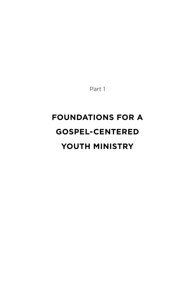Part 1

# **FOUNDATIONS FOR A GOSPEL-CENTERED YOUTH MINISTRY**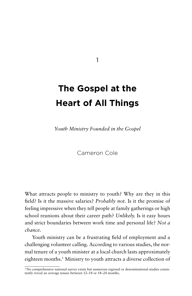<span id="page-23-0"></span>1

## **[The Gospel at the](#page-9-0)  [Heart of All Things](#page-9-0)**

*Youth Ministry Founded in the Gospel*

Cameron Cole

What attracts people to ministry to youth? Why are they in this field? Is it the massive salaries? *Probably not.* Is it the promise of feeling impressive when they tell people at family gatherings or high school reunions about their career path? *Unlikely.* Is it easy hours and strict boundaries between work time and personal life? *Not a chance.*

Youth ministry can be a frustrating field of employment and a challenging volunteer calling. According to various studies, the normal tenure of a youth minister at a local church lasts approximately eighteen months.<sup>1</sup> Ministry to youth attracts a diverse collection of

 $1$ No comprehensive national survey exists but numerous regional or denominational studies consistently reveal an average tenure between 12–18 or 18–24 months.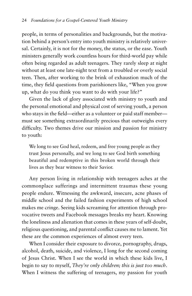people, in terms of personalities and backgrounds, but the motivation behind a person's entry into youth ministry is relatively universal. Certainly, it is not for the money, the status, or the ease. Youth ministers generally work countless hours for third-world pay while often being regarded as adult teenagers. They rarely sleep at night without at least one late-night text from a troubled or overly social teen. Then, after working to the brink of exhaustion much of the time, they field questions from parishioners like, "When you grow up, what do you think you want to do with your life?"

Given the lack of glory associated with ministry to youth and the personal emotional and physical cost of serving youth, a person who stays in the field—either as a volunteer or paid staff member must see something extraordinarily precious that outweighs every difficulty. Two themes drive our mission and passion for ministry to youth:

We long to see God heal, redeem, and free young people as they trust Jesus personally, and we long to see God birth something beautiful and redemptive in this broken world through their lives as they bear witness to their Savior.

Any person living in relationship with teenagers aches at the commonplace sufferings and intermittent traumas these young people endure. Witnessing the awkward, insecure, acne phases of middle school and the failed fashion experiments of high school makes me cringe. Seeing kids screaming for attention through provocative tweets and Facebook messages breaks my heart. Knowing the loneliness and alienation that comes in these years of self-doubt, religious questioning, and parental conflict causes me to lament. Yet these are the common experiences of almost every teen.

When I consider their exposure to divorce, pornography, drugs, alcohol, death, suicide, and violence, I long for the second coming of Jesus Christ. When I see the world in which these kids live, I begin to say to myself, *They're only children; this is just too much*. When I witness the suffering of teenagers, my passion for youth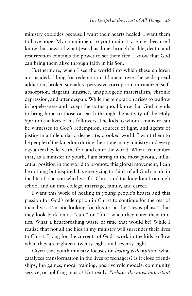ministry explodes because I want their hearts healed. I want them to have hope. My commitment to youth ministry ignites because I know that news of what Jesus has done through his life, death, and resurrection contains the power to set them free. I know that God can bring them alive through faith in his Son.

Furthermore, when I see the world into which these children are headed, I long for redemption. I lament over the widespread addiction, broken sexuality, pervasive corruption, normalized selfabsorption, flagrant injustice, unapologetic materialism, chronic depression, and utter despair. While the temptation arises to wallow in hopelessness and accept the status quo, I know that God intends to bring hope to those on earth through the activity of the Holy Spirit in the lives of his followers. The kids to whom I minister can be witnesses to God's redemption, sources of light, and agents of justice in a fallen, dark, desperate, crooked world. I want them to be people of the kingdom during their time in my ministry and every day after they leave the fold and enter the world. When I remember that, as a minister to youth, I am sitting in the most pivotal, influential position in the world to promote this global movement, I can be nothing but inspired. It's energizing to think of all God can do in the life of a person who lives for Christ and the kingdom from high school and on into college, marriage, family, and career.

I want this work of healing in young people's hearts and this passion for God's redemption in Christ to continue for the rest of their lives. I'm not looking for this to be the "Jesus phase" that they look back on as "cute" or "fun" when they enter their thirties. What a heartbreaking waste of time that would be! While I realize that not all the kids in my ministry will surrender their lives to Christ, I long for the currents of God's work in the kids to flow when they are eighteen, twenty-eight, and seventy-eight.

Given that youth ministry focuses on *lasting redemption*, what catalyzes transformation in the lives of teenagers? Is it close friendships, fun games, moral training, positive role models, community service, or uplifting music? Not really. *Perhaps the most important*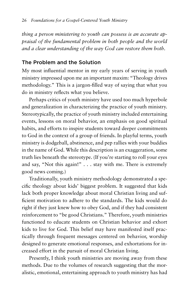*thing a person ministering to youth can possess is an accurate appraisal of the fundamental problem in both people and the world and a clear understanding of the way God can restore them both.*

#### The Problem and the Solution

My most influential mentor in my early years of serving in youth ministry impressed upon me an important maxim: "Theology drives methodology." This is a jargon-filled way of saying that what you do in ministry reflects what you believe.

Perhaps critics of youth ministry have used too much hyperbole and generalization in characterizing the practice of youth ministry. Stereotypically, the practice of youth ministry included entertaining events, lessons on moral behavior, an emphasis on good spiritual habits, and efforts to inspire students toward deeper commitments to God in the context of a group of friends. In playful terms, youth ministry is dodgeball, abstinence, and pep rallies with your buddies in the name of God. While this description is an exaggeration, some truth lies beneath the stereotype. (If you're starting to roll your eyes and say, "Not this again!" . . . stay with me. There is extremely good news coming.)

Traditionally, youth ministry methodology demonstrated a specific theology about kids' biggest problem. It suggested that kids lack both proper knowledge about moral Christian living and sufficient motivation to adhere to the standards. The kids would do right if they just knew how to obey God, and if they had consistent reinforcement to "be good Christians." Therefore, youth ministries functioned to educate students on Christian behavior and exhort kids to live for God. This belief may have manifested itself practically through frequent messages centered on behavior, worship designed to generate emotional responses, and exhortations for increased effort in the pursuit of moral Christian living.

Presently, I think youth ministries are moving away from these methods. Due to the volumes of research suggesting that the moralistic, emotional, entertaining approach to youth ministry has had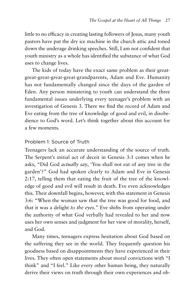little to no efficacy in creating lasting followers of Jesus, many youth pastors have put the dry ice machine in the church attic and toned down the underage drinking speeches. Still, I am not confident that youth ministry as a whole has identified the substance of what God uses to change lives.

The kids of today have the exact same problem as their greatgreat-great-great-great-grandparents, Adam and Eve. Humanity has not fundamentally changed since the days of the garden of Eden. Any person ministering to youth can understand the three fundamental issues underlying every teenager's problem with an investigation of Genesis 3. There we find the record of Adam and Eve eating from the tree of knowledge of good and evil, in disobedience to God's word. Let's think together about this account for a few moments.

#### Problem 1: Source of Truth

Teenagers lack an accurate understanding of the source of truth. The Serpent's initial act of deceit in Genesis 3:1 comes when he asks, "Did God *actually say*, 'You shall not eat of any tree in the garden'?" God had spoken clearly to Adam and Eve in Genesis 2:17, telling them that eating the fruit of the tree of the knowledge of good and evil will result in death. Eve even acknowledges this. Their downfall begins, however, with this statement in Genesis 3:6: "When the woman saw that the tree was good for food, and that it was a delight *to the eyes*." Eve shifts from operating under the authority of what God verbally had revealed to her and now uses her own senses and judgment for her view of morality, herself, and God.

Many times, teenagers express hesitation about God based on the suffering they see in the world. They frequently question his goodness based on disappointments they have experienced in their lives. They often open statements about moral convictions with "I think" and "I feel." Like every other human being, they naturally derive their views on truth through their own experiences and ob-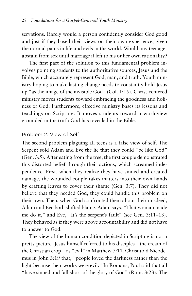servations. Rarely would a person confidently consider God good and just if they based their views on their own experience, given the normal pains in life and evils in the world. Would any teenager abstain from sex until marriage if left to his or her own rationality?

The first part of the solution to this fundamental problem involves pointing students to the authoritative sources, Jesus and the Bible, which accurately represent God, man, and truth. Youth ministry hoping to make lasting change needs to constantly hold Jesus up "as the image of the invisible God" (Col. 1:15). Christ-centered ministry moves students toward embracing the goodness and holiness of God. Furthermore, effective ministry bases its lessons and teachings on Scripture. It moves students toward a worldview grounded in the truth God has revealed in the Bible.

#### Problem 2: View of Self

The second problem plaguing all teens is a false view of self. The Serpent sold Adam and Eve the lie that they could "be like God" (Gen. 3:5). After eating from the tree, the first couple demonstrated this distorted belief through their actions, which screamed independence. First, when they realize they have sinned and created damage, the wounded couple takes matters into their own hands by crafting leaves to cover their shame (Gen. 3:7). They did not believe that they needed God; they could handle this problem on their own. Then, when God confronted them about their misdeed, Adam and Eve both shifted blame. Adam says, "That woman made me do it," and Eve, "It's the serpent's fault" (see Gen. 3:11–13). They behaved as if they were above accountability and did not have to answer to God.

The view of the human condition depicted in Scripture is not a pretty picture. Jesus himself referred to his disciples—the cream of the Christian crop—as "evil" in Matthew 7:11. Christ told Nicodemus in John 3:19 that, "people loved the darkness rather than the light because their works were evil." In Romans, Paul said that all "have sinned and fall short of the glory of God" (Rom. 3:23). The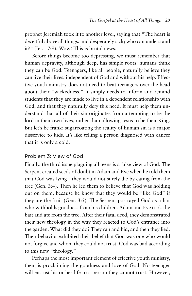prophet Jeremiah took it to another level, saying that "The heart is deceitful above all things, and desperately sick; who can understand it?" (Jer. 17:9). Wow! This is brutal news.

Before things become too depressing, we must remember that human depravity, although deep, has simple roots: humans think they can be God. Teenagers, like all people, naturally believe they can live their lives, independent of God and without his help. Effective youth ministry does not need to beat teenagers over the head about their "wickedness." It simply needs to inform and remind students that they are made to live in a dependent relationship with God, and that they naturally defy this need. It must help them understand that all of their sin originates from attempting to be the lord in their own lives, rather than allowing Jesus to be their King. But let's be frank: sugarcoating the reality of human sin is a major disservice to kids. It's like telling a person diagnosed with cancer that it is only a cold.

#### Problem 3: View of God

Finally, the third issue plaguing all teens is a false view of God. The Serpent created seeds of doubt in Adam and Eve when he told them that God was lying—they would not surely die by eating from the tree (Gen. 3:4). Then he led them to believe that God was holding out on them, because he knew that they would be "like God" if they ate the fruit (Gen. 3:5). The Serpent portrayed God as a liar who withholds goodness from his children. Adam and Eve took the bait and ate from the tree. After their fatal deed, they demonstrated their new theology in the way they reacted to God's entrance into the garden. What did they do? They ran and hid, and then they lied. Their behavior exhibited their belief that God was one who would not forgive and whom they could not trust. God was bad according to this new "theology."

Perhaps the most important element of effective youth ministry, then, is proclaiming the goodness and love of God. No teenager will entrust his or her life to a person they cannot trust. However,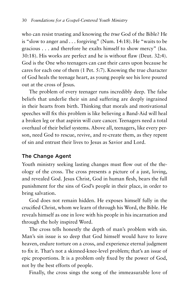who can resist trusting and knowing the *true* God of the Bible? He is "slow to anger and . . . forgiving" (Num. 14:18). He "waits to be gracious . . . and therefore he exalts himself to show mercy" (Isa. 30:18). His works are perfect and he is without flaw (Deut. 32:4). God is the One who teenagers can cast their cares upon because he cares for each one of them (1 Pet. 5:7). Knowing the true character of God heals the teenage heart, as young people see his love poured out at the cross of Jesus.

The problem of every teenager runs incredibly deep. The false beliefs that underlie their sin and suffering are deeply ingrained in their hearts from birth. Thinking that morals and motivational speeches will fix this problem is like believing a Band-Aid will heal a broken leg or that aspirin will cure cancer. Teenagers need a total overhaul of their belief systems. Above all, teenagers, like every person, need God to rescue, revive, and re-create them, as they repent of sin and entrust their lives to Jesus as Savior and Lord.

#### The Change Agent

Youth ministry seeking lasting changes must flow out of the theology of the cross. The cross presents a picture of a just, loving, and revealed God. Jesus Christ, God in human flesh, bears the full punishment for the sins of God's people in their place, in order to bring salvation.

God does not remain hidden. He exposes himself fully in the crucified Christ, whom we learn of through his Word, the Bible. He reveals himself as one in love with his people in his incarnation and through the holy inspired Word.

The cross tells honestly the depth of man's problem with sin. Man's sin issue is so deep that God himself would have to leave heaven, endure torture on a cross, and experience eternal judgment to fix it. That's not a skinned-knee-level problem; that's an issue of epic proportions. It is a problem only fixed by the power of God, not by the best efforts of people.

Finally, the cross sings the song of the immeasurable love of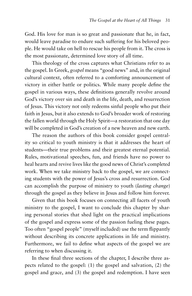God. His love for man is so great and passionate that he, in fact, would leave paradise to endure such suffering for his beloved people. He would take on hell to rescue his people from it. The cross is the most passionate, determined love story of all time.

This theology of the cross captures what Christians refer to as the gospel. In Greek, *gospel* means "good news" and, in the original cultural context, often referred to a comforting announcement of victory in either battle or politics. While many people define the gospel in various ways, these definitions generally revolve around God's victory over sin and death in the life, death, and resurrection of Jesus. This victory not only redeems sinful people who put their faith in Jesus, but it also extends to God's broader work of restoring the fallen world through the Holy Spirit—a restoration that one day will be completed in God's creation of a new heaven and new earth.

The reason the authors of this book consider gospel centrality so critical to youth ministry is that it addresses the heart of students—their true problems and their greatest eternal potential. Rules, motivational speeches, fun, and friends have no power to heal hearts and revive lives like the good news of Christ's completed work. When we take ministry back to the gospel, we are connecting students with the power of Jesus's cross and resurrection. God can accomplish the purpose of ministry to youth (*lasting change*) through the gospel as they believe in Jesus and follow him forever.

Given that this book focuses on connecting all facets of youth ministry to the gospel, I want to conclude this chapter by sharing personal stories that shed light on the practical implications of the gospel and express some of the passion fueling these pages. Too often "gospel people" (myself included) use the term flippantly without describing its concrete applications in life and ministry. Furthermore, we fail to define what aspects of the gospel we are referring to when discussing it.

In these final three sections of the chapter, I describe three aspects related to the gospel: (1) the gospel and salvation, (2) the gospel and grace, and (3) the gospel and redemption. I have seen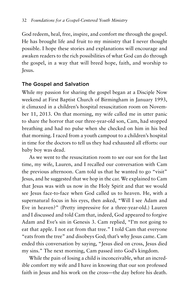God redeem, heal, free, inspire, and comfort me through the gospel. He has brought life and fruit to my ministry that I never thought possible. I hope these stories and explanations will encourage and awaken readers to the rich possibilities of what God can do through the gospel, in a way that will breed hope, faith, and worship to Jesus.

#### The Gospel and Salvation

While my passion for sharing the gospel began at a Disciple Now weekend at First Baptist Church of Birmingham in January 1993, it climaxed in a children's hospital resuscitation room on November 11, 2013. On that morning, my wife called me in utter panic to share the horror that our three-year-old son, Cam, had stopped breathing and had no pulse when she checked on him in his bed that morning. I raced from a youth campout to a children's hospital in time for the doctors to tell us they had exhausted all efforts: our baby boy was dead.

As we went to the resuscitation room to see our son for the last time, my wife, Lauren, and I recalled our conversation with Cam the previous afternoon. Cam told us that he wanted to go "visit" Jesus, and he suggested that we hop in the car. We explained to Cam that Jesus was with us now in the Holy Spirit and that we would see Jesus face-to-face when God called us to heaven. He, with a supernatural focus in his eyes, then asked, "Will I see Adam and Eve in heaven?" (Pretty impressive for a three-year-old.) Lauren and I discussed and told Cam that, indeed, God appeared to forgive Adam and Eve's sin in Genesis 3. Cam replied, "I'm not going to eat that apple. I not eat from that tree." I told Cam that everyone "eats from the tree" and disobeys God; that's why Jesus came. Cam ended this conversation by saying, "Jesus died on cross, Jesus died my sins." The next morning, Cam passed into God's kingdom.

While the pain of losing a child is inconceivable, what an incredible comfort my wife and I have in knowing that our son professed faith in Jesus and his work on the cross—the day before his death.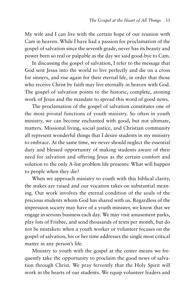My wife and I can live with the certain hope of our reunion with Cam in heaven. While I have had a passion for proclamation of the gospel of salvation since the seventh grade, never has its beauty and power been so real or palpable as the day we said good-bye to Cam.

In discussing the gospel of salvation, I refer to the message that God sent Jesus into the world to live perfectly and die on a cross for sinners, and rise again for their eternal life, in order that those who receive Christ by faith may live eternally in heaven with God. The gospel of salvation points to the historic, complete, atoning work of Jesus and the mandate to spread this word of good news.

The proclamation of the gospel of salvation constitutes one of the most pivotal functions of youth ministry. So often in youth ministry, we can become enchanted with good, but not ultimate, matters. Missional living, social justice, and Christian community all represent wonderful things that I desire students in my ministry to embrace. At the same time, we never should neglect the essential duty and blessed opportunity of making students aware of their need for salvation and offering Jesus as the certain comfort and solution to the only A-list problem life presents: What will happen to people when they die?

When we approach ministry to youth with this biblical clarity, the stakes are raised and our vocation takes on substantial meaning. Our work involves the eternal condition of the souls of the precious students whom God has shared with us. Regardless of the impression society may have of a youth minister, we know that we engage in serious business each day. We may visit amusement parks, play lots of Frisbee, and send thousands of texts per month, but do not be mistaken: when a youth worker or volunteer focuses on the gospel of salvation, his or her time addresses the single most critical matter in any person's life.

Ministry to youth with the gospel at the center means we frequently take the opportunity to proclaim the good news of salvation through Christ. We pray fervently that the Holy Spirit will work in the hearts of our students. We equip volunteer leaders and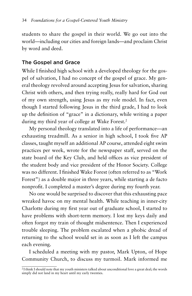students to share the gospel in their world. We go out into the world—including our cities and foreign lands—and proclaim Christ by word and deed.

#### The Gospel and Grace

While I finished high school with a developed theology for the gospel of salvation, I had no concept of the gospel of grace. My general theology revolved around accepting Jesus for salvation, sharing Christ with others, and then trying really, really hard for God out of my own strength, using Jesus as my role model. In fact, even though I started following Jesus in the third grade, I had to look up the definition of "grace" in a dictionary, while writing a paper during my third year of college at Wake Forest.<sup>2</sup>

My personal theology translated into a life of performance—an exhausting treadmill. As a senior in high school, I took five AP classes, taught myself an additional AP course, attended eight swim practices per week, wrote for the newspaper staff, served on the state board of the Key Club, and held offices as vice president of the student body and vice president of the Honor Society. College was no different. I finished Wake Forest (often referred to as "Work Forest") as a double major in three years, while starting a de facto nonprofit. I completed a master's degree during my fourth year.

No one would be surprised to discover that this exhausting pace wreaked havoc on my mental health. While teaching in inner-city Charlotte during my first year out of graduate school, I started to have problems with short-term memory. I lost my keys daily and often forgot my train of thought midsentence. Then I experienced trouble sleeping. The problem escalated when a phobic dread of returning to the school would set in as soon as I left the campus each evening.

I scheduled a meeting with my pastor, Mark Upton, of Hope Community Church, to discuss my turmoil. Mark informed me

<sup>2</sup> I think I should note that my youth ministers talked about unconditional love a great deal; the words simply did not land in my heart until my early twenties.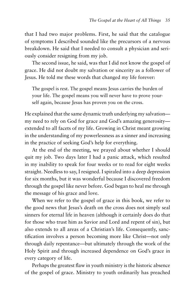that I had two major problems. First, he said that the catalogue of symptoms I described sounded like the precursors of a nervous breakdown. He said that I needed to consult a physician and seriously consider resigning from my job.

The second issue, he said, was that I did not know the gospel of grace. He did not doubt my salvation or sincerity as a follower of Jesus. He told me these words that changed my life forever:

The gospel is rest. The gospel means Jesus carries the burden of your life. The gospel means you will never have to prove yourself again, because Jesus has proven you on the cross.

He explained that the same dynamic truth underlying my salvation my need to rely on God for grace and God's amazing generosity extended to all facets of my life. Growing in Christ meant growing in the understanding of my powerlessness as a sinner and increasing in the practice of seeking God's help for everything.

At the end of the meeting, we prayed about whether I should quit my job. Two days later I had a panic attack, which resulted in my inability to speak for four weeks or to read for eight weeks straight. Needless to say, I resigned. I spiraled into a deep depression for six months, but it was wonderful because I discovered freedom through the gospel like never before. God began to heal me through the message of his grace and love.

When we refer to the gospel of grace in this book, we refer to the good news that Jesus's death on the cross does not simply seal sinners for eternal life in heaven (although it certainly does do that for those who trust him as Savior and Lord and repent of sin), but also extends to all areas of a Christian's life. Consequently, sanctification involves a person becoming more like Christ—not only through daily repentance—but ultimately through the work of the Holy Spirit and through increased dependence on God's grace in every category of life.

Perhaps the greatest flaw in youth ministry is the historic absence of the gospel of grace. Ministry to youth ordinarily has preached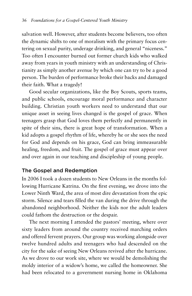salvation well. However, after students become believers, too often the dynamic shifts to one of moralism with the primary focus centering on sexual purity, underage drinking, and general "niceness." Too often I encounter burned out former church kids who walked away from years in youth ministry with an understanding of Christianity as simply another avenue by which one can try to be a good person. The burden of performance broke their backs and damaged their faith. What a tragedy!

Good secular organizations, like the Boy Scouts, sports teams, and public schools, encourage moral performance and character building. Christian youth workers need to understand that our unique asset in seeing lives changed is the gospel of grace. When teenagers grasp that God loves them perfectly and permanently in spite of their sins, there is great hope of transformation. When a kid adopts a gospel rhythm of life, whereby he or she sees the need for God and depends on his grace, God can bring immeasurable healing, freedom, and fruit. The gospel of grace must appear over and over again in our teaching and discipleship of young people.

#### The Gospel and Redemption

In 2006 I took a dozen students to New Orleans in the months following Hurricane Katrina. On the first evening, we drove into the Lower Ninth Ward, the area of most dire devastation from the epic storm. Silence and tears filled the van during the drive through the abandoned neighborhood. Neither the kids nor the adult leaders could fathom the destruction or the despair.

The next morning I attended the pastors' meeting, where over sixty leaders from around the country received marching orders and offered fervent prayers. Our group was working alongside over twelve hundred adults and teenagers who had descended on the city for the sake of seeing New Orleans revived after the hurricane. As we drove to our work site, where we would be demolishing the moldy interior of a widow's home, we called the homeowner. She had been relocated to a government nursing home in Oklahoma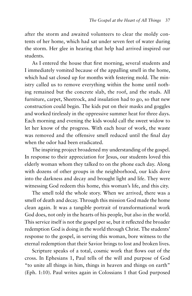after the storm and awaited volunteers to clear the moldy contents of her home, which had sat under seven feet of water during the storm. Her glee in hearing that help had arrived inspired our students.

As I entered the house that first morning, several students and I immediately vomited because of the appalling smell in the home, which had sat closed up for months with festering mold. The ministry called us to remove everything within the home until nothing remained but the concrete slab, the roof, and the studs. All furniture, carpet, Sheetrock, and insulation had to go, so that new construction could begin. The kids put on their masks and goggles and worked tirelessly in the oppressive summer heat for three days. Each morning and evening the kids would call the sweet widow to let her know of the progress. With each hour of work, the waste was removed and the offensive smell reduced until the final day when the odor had been eradicated.

The inspiring project broadened my understanding of the gospel. In response to their appreciation for Jesus, our students loved this elderly woman whom they talked to on the phone each day. Along with dozens of other groups in the neighborhood, our kids dove into the darkness and decay and brought light and life. They were witnessing God redeem this home, this woman's life, and this city.

The smell told the whole story. When we arrived, there was a smell of death and decay. Through this mission God made the home clean again. It was a tangible portrait of transformational work God does, not only in the hearts of his people, but also in the world. This service itself is not the gospel per se, but it reflected the broader redemption God is doing in the world through Christ. The students' response to the gospel, in serving this woman, bore witness to the eternal redemption that their Savior brings to lost and broken lives.

Scripture speaks of a total, cosmic work that flows out of the cross. In Ephesians 1, Paul tells of the will and purpose of God "to unite all things in him, things in heaven and things on earth" (Eph. 1:10). Paul writes again in Colossians 1 that God purposed